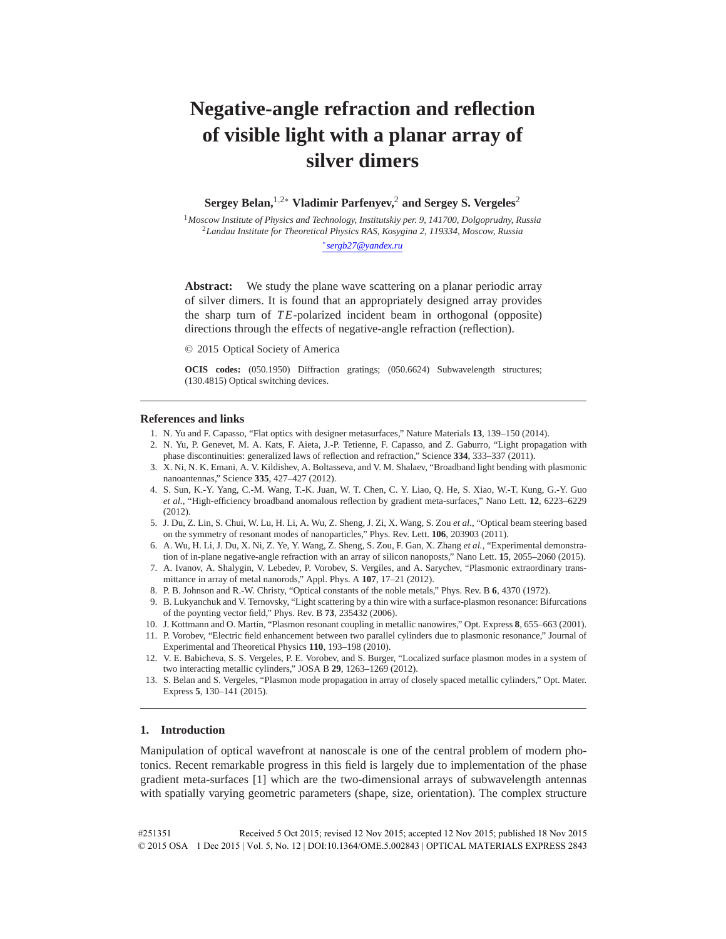# **Negative-angle refraction and reflection of visible light with a planar array of silver dimers**

**Sergey Belan,**1*,*2<sup>∗</sup> **Vladimir Parfenyev,**<sup>2</sup> **and Sergey S. Vergeles**<sup>2</sup>

<sup>1</sup>*Moscow Institute of Physics and Technology, Institutskiy per. 9, 141700, Dolgoprudny, Russia* <sup>2</sup>*Landau Institute for Theoretical Physics RAS, Kosygina 2, 119334, Moscow, Russia*

∗*sergb27@yandex.ru*

Abstract: We study the plane wave scattering on a planar periodic array of silver dimers. It is found that an appropriately designed array provides the sharp turn of *T E*-polarized incident beam in orthogonal (opposite) directions through the effects of negative-angle refraction (reflection).

© 2015 Optical Society of America

**OCIS codes:** (050.1950) Diffraction gratings; (050.6624) Subwavelength structures; (130.4815) Optical switching devices.

#### **References and links**

- 1. N. Yu and F. Capasso, "Flat optics with designer metasurfaces," Nature Materials **13**, 139–150 (2014).
- 2. N. Yu, P. Genevet, M. A. Kats, F. Aieta, J.-P. Tetienne, F. Capasso, and Z. Gaburro, "Light propagation with phase discontinuities: generalized laws of reflection and refraction," Science **334**, 333–337 (2011).
- 3. X. Ni, N. K. Emani, A. V. Kildishev, A. Boltasseva, and V. M. Shalaev, "Broadband light bending with plasmonic nanoantennas," Science **335**, 427–427 (2012).
- 4. S. Sun, K.-Y. Yang, C.-M. Wang, T.-K. Juan, W. T. Chen, C. Y. Liao, Q. He, S. Xiao, W.-T. Kung, G.-Y. Guo *et al.*, "High-efficiency broadband anomalous reflection by gradient meta-surfaces," Nano Lett. **12**, 6223–6229 (2012).
- 5. J. Du, Z. Lin, S. Chui, W. Lu, H. Li, A. Wu, Z. Sheng, J. Zi, X. Wang, S. Zou *et al.*, "Optical beam steering based on the symmetry of resonant modes of nanoparticles," Phys. Rev. Lett. **106**, 203903 (2011).
- 6. A. Wu, H. Li, J. Du, X. Ni, Z. Ye, Y. Wang, Z. Sheng, S. Zou, F. Gan, X. Zhang *et al.*, "Experimental demonstration of in-plane negative-angle refraction with an array of silicon nanoposts," Nano Lett. **15**, 2055–2060 (2015).
- 7. A. Ivanov, A. Shalygin, V. Lebedev, P. Vorobev, S. Vergiles, and A. Sarychev, "Plasmonic extraordinary transmittance in array of metal nanorods," Appl. Phys. A **107**, 17–21 (2012).
- 8. P. B. Johnson and R.-W. Christy, "Optical constants of the noble metals," Phys. Rev. B **6**, 4370 (1972).
- 9. B. Lukyanchuk and V. Ternovsky, "Light scattering by a thin wire with a surface-plasmon resonance: Bifurcations of the poynting vector field," Phys. Rev. B **73**, 235432 (2006).
- 10. J. Kottmann and O. Martin, "Plasmon resonant coupling in metallic nanowires," Opt. Express **8**, 655–663 (2001).
- 11. P. Vorobev, "Electric field enhancement between two parallel cylinders due to plasmonic resonance," Journal of Experimental and Theoretical Physics **110**, 193–198 (2010).
- 12. V. E. Babicheva, S. S. Vergeles, P. E. Vorobev, and S. Burger, "Localized surface plasmon modes in a system of two interacting metallic cylinders," JOSA B **29**, 1263–1269 (2012).
- 13. S. Belan and S. Vergeles, "Plasmon mode propagation in array of closely spaced metallic cylinders," Opt. Mater. Express **5**, 130–141 (2015).

## **1. Introduction**

Manipulation of optical wavefront at nanoscale is one of the central problem of modern photonics. Recent remarkable progress in this field is largely due to implementation of the phase gradient meta-surfaces [1] which are the two-dimensional arrays of subwavelength antennas with spatially varying geometric parameters (shape, size, orientation). The complex structure

#251351 Received 5 Oct 2015; revised 12 Nov 2015; accepted 12 Nov 2015; published 18 Nov 2015 © 2015 OSA 1 Dec 2015 | Vol. 5, No. 12 | DOI:10.1364/OME.5.002843 | OPTICAL MATERIALS EXPRESS 2843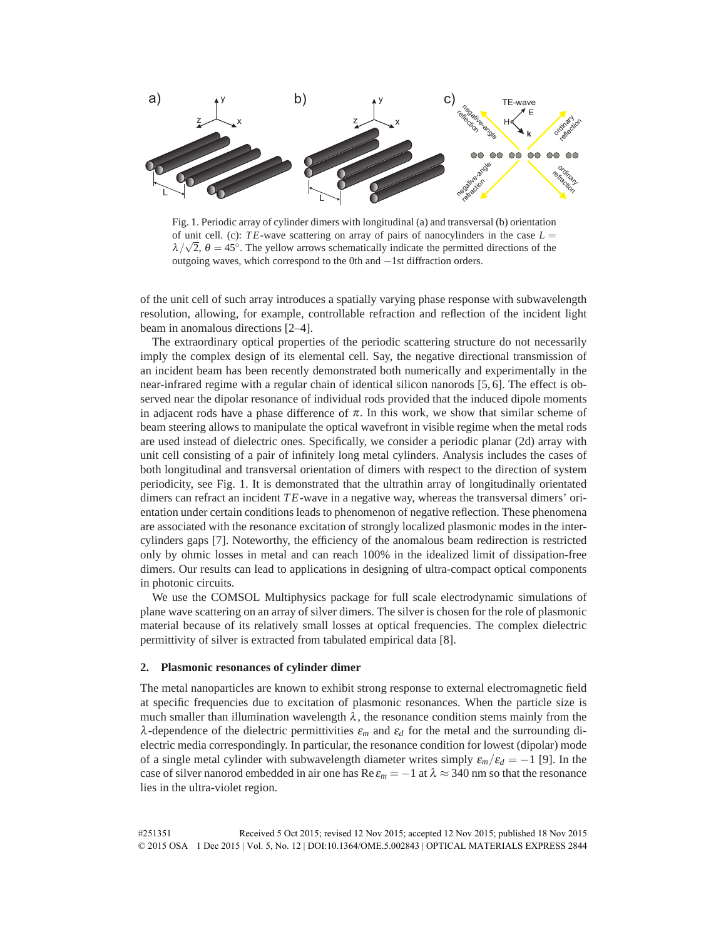

Fig. 1. Periodic array of cylinder dimers with longitudinal (a) and transversal (b) orientation of unit cell. (c):  $TE$ -wave scattering on array of pairs of nanocylinders in the case  $L =$  $\lambda/\sqrt{2}$ ,  $\theta = 45^\circ$ . The yellow arrows schematically indicate the permitted directions of the outgoing waves, which correspond to the 0th and −1st diffraction orders.

of the unit cell of such array introduces a spatially varying phase response with subwavelength resolution, allowing, for example, controllable refraction and reflection of the incident light beam in anomalous directions [2–4].

The extraordinary optical properties of the periodic scattering structure do not necessarily imply the complex design of its elemental cell. Say, the negative directional transmission of an incident beam has been recently demonstrated both numerically and experimentally in the near-infrared regime with a regular chain of identical silicon nanorods [5, 6]. The effect is observed near the dipolar resonance of individual rods provided that the induced dipole moments in adjacent rods have a phase difference of  $\pi$ . In this work, we show that similar scheme of beam steering allows to manipulate the optical wavefront in visible regime when the metal rods are used instead of dielectric ones. Specifically, we consider a periodic planar (2d) array with unit cell consisting of a pair of infinitely long metal cylinders. Analysis includes the cases of both longitudinal and transversal orientation of dimers with respect to the direction of system periodicity, see Fig. 1. It is demonstrated that the ultrathin array of longitudinally orientated dimers can refract an incident *T E*-wave in a negative way, whereas the transversal dimers' orientation under certain conditions leads to phenomenon of negative reflection. These phenomena are associated with the resonance excitation of strongly localized plasmonic modes in the intercylinders gaps [7]. Noteworthy, the efficiency of the anomalous beam redirection is restricted only by ohmic losses in metal and can reach 100% in the idealized limit of dissipation-free dimers. Our results can lead to applications in designing of ultra-compact optical components in photonic circuits.

We use the COMSOL Multiphysics package for full scale electrodynamic simulations of plane wave scattering on an array of silver dimers. The silver is chosen for the role of plasmonic material because of its relatively small losses at optical frequencies. The complex dielectric permittivity of silver is extracted from tabulated empirical data [8].

#### **2. Plasmonic resonances of cylinder dimer**

The metal nanoparticles are known to exhibit strong response to external electromagnetic field at specific frequencies due to excitation of plasmonic resonances. When the particle size is much smaller than illumination wavelength  $\lambda$ , the resonance condition stems mainly from the λ-dependence of the dielectric permittivities <sup>ε</sup>*<sup>m</sup>* and <sup>ε</sup>*<sup>d</sup>* for the metal and the surrounding dielectric media correspondingly. In particular, the resonance condition for lowest (dipolar) mode of a single metal cylinder with subwavelength diameter writes simply  $\varepsilon_m/\varepsilon_d = -1$  [9]. In the case of silver nanorod embedded in air one has Re  $\varepsilon_m = -1$  at  $\lambda \approx 340$  nm so that the resonance lies in the ultra-violet region.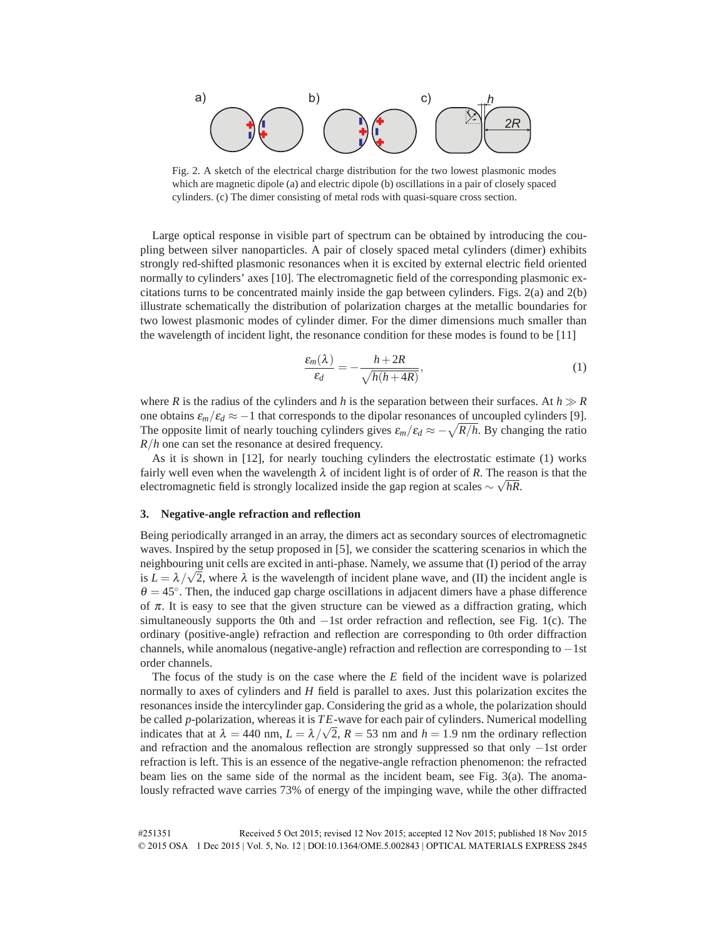

Fig. 2. A sketch of the electrical charge distribution for the two lowest plasmonic modes which are magnetic dipole (a) and electric dipole (b) oscillations in a pair of closely spaced cylinders. (c) The dimer consisting of metal rods with quasi-square cross section.

Large optical response in visible part of spectrum can be obtained by introducing the coupling between silver nanoparticles. A pair of closely spaced metal cylinders (dimer) exhibits strongly red-shifted plasmonic resonances when it is excited by external electric field oriented normally to cylinders' axes [10]. The electromagnetic field of the corresponding plasmonic excitations turns to be concentrated mainly inside the gap between cylinders. Figs. 2(a) and 2(b) illustrate schematically the distribution of polarization charges at the metallic boundaries for two lowest plasmonic modes of cylinder dimer. For the dimer dimensions much smaller than the wavelength of incident light, the resonance condition for these modes is found to be [11]

$$
\frac{\varepsilon_m(\lambda)}{\varepsilon_d} = -\frac{h + 2R}{\sqrt{h(h + 4R)}},\tag{1}
$$

where *R* is the radius of the cylinders and *h* is the separation between their surfaces. At  $h \gg R$ one obtains  $\varepsilon_m/\varepsilon_d \approx -1$  that corresponds to the dipolar resonances of uncoupled cylinders [9]. The opposite limit of nearly touching cylinders gives  $\varepsilon_m/\varepsilon_d \approx -\sqrt{R/h}$ . By changing the ratio *R/h* one can set the resonance at desired frequency.

As it is shown in [12], for nearly touching cylinders the electrostatic estimate (1) works fairly well even when the wavelength  $\lambda$  of incident light is of order of R. The reason is that the electromagnetic field is strongly localized inside the gap region at scales <sup>∼</sup> <sup>√</sup> *hR*.

### **3. Negative-angle refraction and reflection**

Being periodically arranged in an array, the dimers act as secondary sources of electromagnetic waves. Inspired by the setup proposed in [5], we consider the scattering scenarios in which the neighbouring unit cells are excited in anti-phase. Namely, we assume that (I) period of the array is  $L = \lambda / \sqrt{2}$ , where  $\lambda$  is the wavelength of incident plane wave, and (II) the incident angle is  $\theta = 45^\circ$ . Then, the induced gap charge oscillations in adjacent dimers have a phase difference of  $\pi$ . It is easy to see that the given structure can be viewed as a diffraction grating, which simultaneously supports the 0th and −1st order refraction and reflection, see Fig. 1(c). The ordinary (positive-angle) refraction and reflection are corresponding to 0th order diffraction channels, while anomalous (negative-angle) refraction and reflection are corresponding to −1st order channels.

The focus of the study is on the case where the *E* field of the incident wave is polarized normally to axes of cylinders and *H* field is parallel to axes. Just this polarization excites the resonances inside the intercylinder gap. Considering the grid as a whole, the polarization should be called *p*-polarization, whereas it is *T E*-wave for each pair of cylinders. Numerical modelling indicates that at  $\lambda = 440$  nm,  $L = \lambda/\sqrt{2}$ ,  $R = 53$  nm and  $h = 1.9$  nm the ordinary reflection and refraction and the anomalous reflection are strongly suppressed so that only −1st order refraction is left. This is an essence of the negative-angle refraction phenomenon: the refracted beam lies on the same side of the normal as the incident beam, see Fig. 3(a). The anomalously refracted wave carries 73% of energy of the impinging wave, while the other diffracted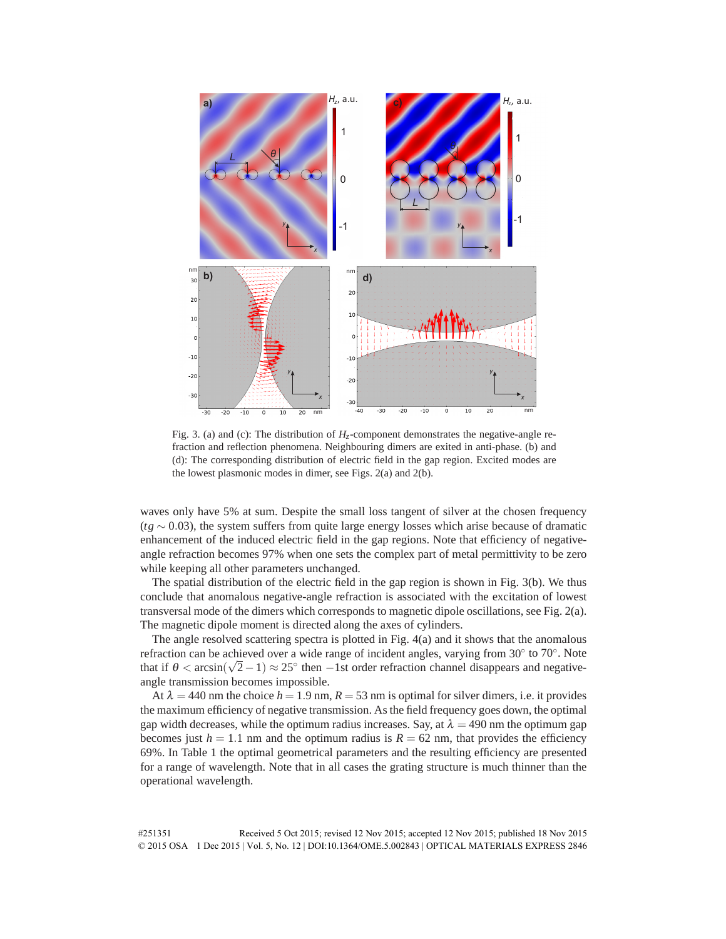

Fig. 3. (a) and (c): The distribution of  $H<sub>z</sub>$ -component demonstrates the negative-angle refraction and reflection phenomena. Neighbouring dimers are exited in anti-phase. (b) and (d): The corresponding distribution of electric field in the gap region. Excited modes are the lowest plasmonic modes in dimer, see Figs. 2(a) and 2(b).

waves only have 5% at sum. Despite the small loss tangent of silver at the chosen frequency (*tg* ∼ 0*.*03), the system suffers from quite large energy losses which arise because of dramatic enhancement of the induced electric field in the gap regions. Note that efficiency of negativeangle refraction becomes 97% when one sets the complex part of metal permittivity to be zero while keeping all other parameters unchanged.

The spatial distribution of the electric field in the gap region is shown in Fig. 3(b). We thus conclude that anomalous negative-angle refraction is associated with the excitation of lowest transversal mode of the dimers which corresponds to magnetic dipole oscillations, see Fig. 2(a). The magnetic dipole moment is directed along the axes of cylinders.

The angle resolved scattering spectra is plotted in Fig. 4(a) and it shows that the anomalous refraction can be achieved over a wide range of incident angles, varying from  $30°$  to  $70°$ . Note that if  $\theta$  <  $arcsin(\sqrt{2}-1) \approx 25^\circ$  then  $-1$ st order refraction channel disappears and negativeangle transmission becomes impossible.

At  $\lambda = 440$  nm the choice  $h = 1.9$  nm,  $R = 53$  nm is optimal for silver dimers, i.e. it provides the maximum efficiency of negative transmission. As the field frequency goes down, the optimal gap width decreases, while the optimum radius increases. Say, at  $\lambda = 490$  nm the optimum gap becomes just  $h = 1.1$  nm and the optimum radius is  $R = 62$  nm, that provides the efficiency 69%. In Table 1 the optimal geometrical parameters and the resulting efficiency are presented for a range of wavelength. Note that in all cases the grating structure is much thinner than the operational wavelength.

#251351 Received 5 Oct 2015; revised 12 Nov 2015; accepted 12 Nov 2015; published 18 Nov 2015 © 2015 OSA 1 Dec 2015 | Vol. 5, No. 12 | DOI:10.1364/OME.5.002843 | OPTICAL MATERIALS EXPRESS 2846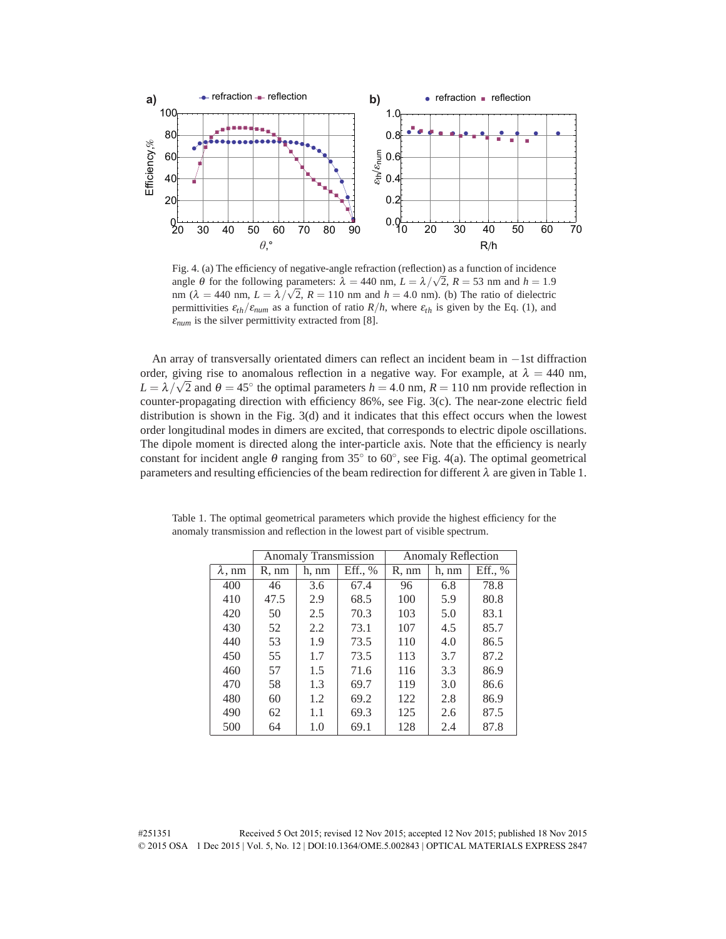

Fig. 4. (a) The efficiency of negative-angle refraction (reflection) as a function of incidence angle  $\theta$  for the following parameters:  $\lambda = 440$  nm,  $L = \lambda/\sqrt{2}$ ,  $R = 53$  nm and  $h = 1.9$ nm ( $\lambda = 440$  nm,  $L = \lambda/\sqrt{2}$ ,  $R = 110$  nm and  $h = 4.0$  nm). (b) The ratio of dielectric permittivities  $\varepsilon_{th}/\varepsilon_{num}$  as a function of ratio  $R/h$ , where  $\varepsilon_{th}$  is given by the Eq. (1), and  $\varepsilon_{num}$  is the silver permittivity extracted from [8].

An array of transversally orientated dimers can reflect an incident beam in −1st diffraction order, giving rise to anomalous reflection in a negative way. For example, at  $\lambda = 440$  nm,  $L = \lambda / \sqrt{2}$  and  $\theta = 45^\circ$  the optimal parameters  $h = 4.0$  nm,  $R = 110$  nm provide reflection in counter-propagating direction with efficiency 86%, see Fig. 3(c). The near-zone electric field distribution is shown in the Fig. 3(d) and it indicates that this effect occurs when the lowest order longitudinal modes in dimers are excited, that corresponds to electric dipole oscillations. The dipole moment is directed along the inter-particle axis. Note that the efficiency is nearly constant for incident angle  $\theta$  ranging from 35 $\degree$  to 60 $\degree$ , see Fig. 4(a). The optimal geometrical parameters and resulting efficiencies of the beam redirection for different  $\lambda$  are given in Table 1.

|                | <b>Anomaly Transmission</b> |       |         | <b>Anomaly Reflection</b> |       |         |
|----------------|-----------------------------|-------|---------|---------------------------|-------|---------|
| $\lambda$ , nm | R, nm                       | h, nm | Eff., % | R, nm                     | h. nm | Eff., % |
| 400            | 46                          | 3.6   | 67.4    | 96                        | 6.8   | 78.8    |
| 410            | 47.5                        | 2.9   | 68.5    | 100                       | 5.9   | 80.8    |
| 420            | 50                          | 2.5   | 70.3    | 103                       | 5.0   | 83.1    |
| 430            | 52                          | 2.2   | 73.1    | 107                       | 4.5   | 85.7    |
| 440            | 53                          | 1.9   | 73.5    | 110                       | 4.0   | 86.5    |
| 450            | 55                          | 1.7   | 73.5    | 113                       | 3.7   | 87.2    |
| 460            | 57                          | 1.5   | 71.6    | 116                       | 3.3   | 86.9    |
| 470            | 58                          | 1.3   | 69.7    | 119                       | 3.0   | 86.6    |
| 480            | 60                          | 1.2   | 69.2    | 122                       | 2.8   | 86.9    |
| 490            | 62                          | 1.1   | 69.3    | 125                       | 2.6   | 87.5    |
| 500            | 64                          | 1.0   | 69.1    | 128                       | 2.4   | 87.8    |

Table 1. The optimal geometrical parameters which provide the highest efficiency for the anomaly transmission and reflection in the lowest part of visible spectrum.